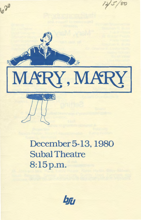

December 5-13, 1980 Subal Theatre 8:15p.m.

ba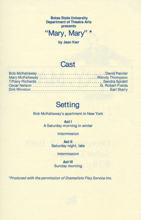**Boise State University Department of Theatre Arts presents** 

**''Mary, Mary''\*** 

**by Jean Kerr** 

#### **Cast**

|  |  |  |  |  |  |  |  |  |  | Mary McKellaway Wendy Thompson |
|--|--|--|--|--|--|--|--|--|--|--------------------------------|
|  |  |  |  |  |  |  |  |  |  |                                |
|  |  |  |  |  |  |  |  |  |  |                                |
|  |  |  |  |  |  |  |  |  |  |                                |

# **Setting**

Bob McKellaway's apartment in New York

**Act** I A Saturday morning in winter

Intermission

**Act** II Saturday night, late

**Intermission** 

**Act Ill**  Sunday morning

\*Produced with the permission of Dramatists Play Service Inc.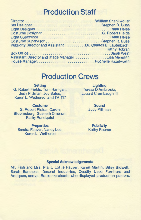## **Production Staff**

| Publicity Director and AssistantDr. Charles E. Lauterbach, |                                     |
|------------------------------------------------------------|-------------------------------------|
|                                                            | <b>Example 2018 19 Kathy Robran</b> |
|                                                            |                                     |
| Assistant Director and Stage Manager Lisa Meredith         |                                     |
| House ManagerRochelle Hazelworth                           |                                     |
|                                                            |                                     |

# **Production Crews**

**Setting**  G. Robert Fields, Tom Hanigan, Judy Pittman, Joy Bates, Karen L. Wethered, and TA 117

**Costume**  G. Robert Fields, Carole Bloomsburg, Gueneth Omeron, Kathy Rundquist

**Properties**  Sandra Fauver, Nancy Lee, Karen L. Wethered

**Lighting**  Teresa D'Ambrosio, Louard Crumbaugh Ill

> **Sound**  Judy Pittman

**Publicity**  Kathy Robran

#### **Special Acknowledgements**

Mr. Fish and Mrs. Plant, Lottie Fauver, Karen Martin, Bitsy Bidwell, Sarah Barsness, Deseret Industries, Quality Used Furniture and Antiques, and all Boise merchants who displayed production posters.